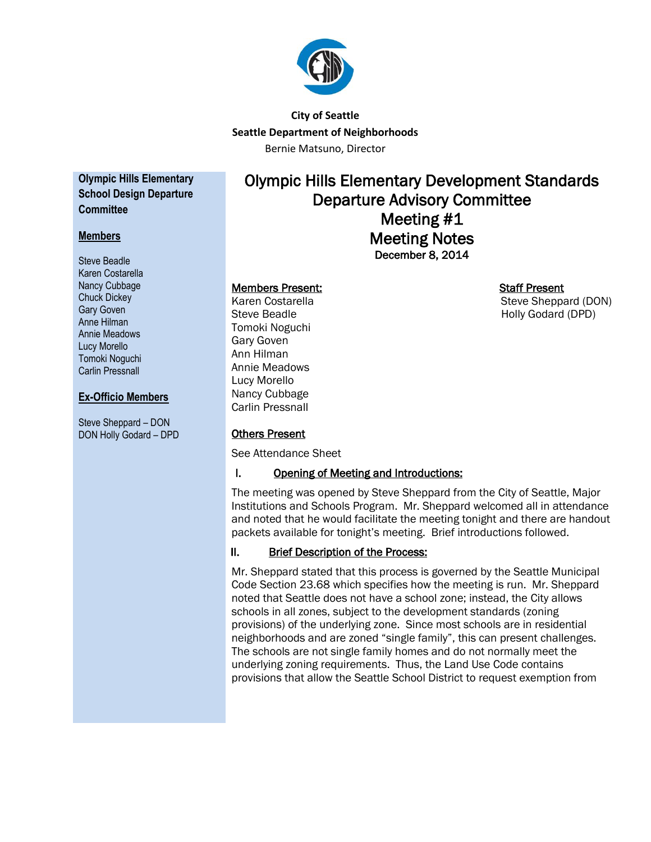

## **City of Seattle Seattle Department of Neighborhoods** Bernie Matsuno, Director

**Olympic Hills Elementary School Design Departure Committee**

## **Members**

Steve Beadle Karen Costarella Nancy Cubbage Chuck Dickey Gary Goven Anne Hilman Annie Meadows Lucy Morello Tomoki Noguchi Carlin Pressnall

## **Ex-Officio Members**

Steve Sheppard – DON DON Holly Godard – DPD

# Olympic Hills Elementary Development Standards Departure Advisory Committee Meeting #1 Meeting Notes December 8, 2014

#### Members Present: Staff Present

Tomoki Noguchi Gary Goven Ann Hilman Annie Meadows Lucy Morello Nancy Cubbage Carlin Pressnall

#### Others Present

See Attendance Sheet

#### I. Opening of Meeting and Introductions:

The meeting was opened by Steve Sheppard from the City of Seattle, Major Institutions and Schools Program. Mr. Sheppard welcomed all in attendance and noted that he would facilitate the meeting tonight and there are handout packets available for tonight's meeting. Brief introductions followed.

## II. Brief Description of the Process:

Mr. Sheppard stated that this process is governed by the Seattle Municipal Code Section 23.68 which specifies how the meeting is run. Mr. Sheppard noted that Seattle does not have a school zone; instead, the City allows schools in all zones, subject to the development standards (zoning provisions) of the underlying zone. Since most schools are in residential neighborhoods and are zoned "single family", this can present challenges. The schools are not single family homes and do not normally meet the underlying zoning requirements. Thus, the Land Use Code contains provisions that allow the Seattle School District to request exemption from

Karen Costarella Steve Sheppard (DON) Steve Beadle **Holly Godard (DPD)**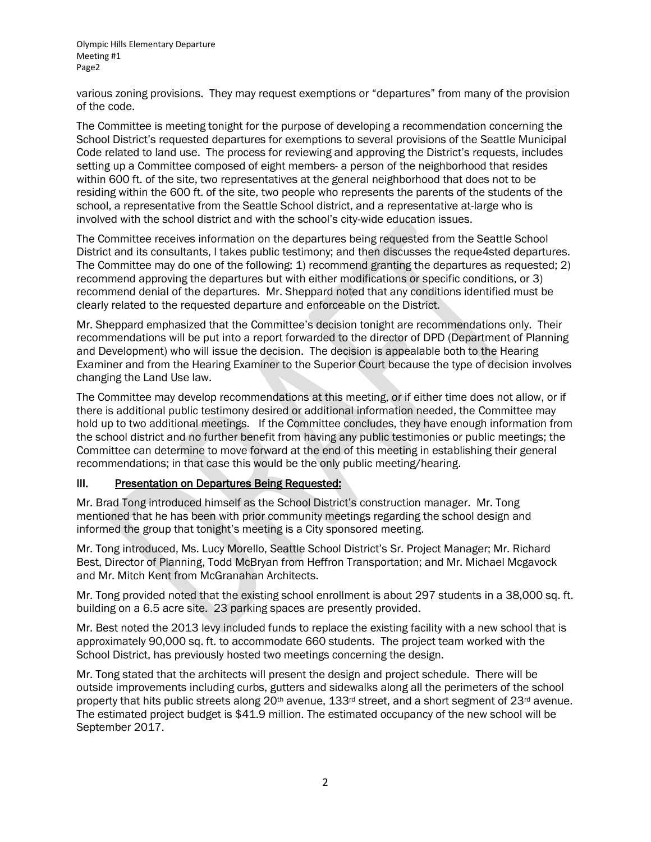various zoning provisions. They may request exemptions or "departures" from many of the provision of the code.

The Committee is meeting tonight for the purpose of developing a recommendation concerning the School District's requested departures for exemptions to several provisions of the Seattle Municipal Code related to land use. The process for reviewing and approving the District's requests, includes setting up a Committee composed of eight members- a person of the neighborhood that resides within 600 ft. of the site, two representatives at the general neighborhood that does not to be residing within the 600 ft. of the site, two people who represents the parents of the students of the school, a representative from the Seattle School district, and a representative at-large who is involved with the school district and with the school's city-wide education issues.

The Committee receives information on the departures being requested from the Seattle School District and its consultants, l takes public testimony; and then discusses the reque4sted departures. The Committee may do one of the following: 1) recommend granting the departures as requested; 2) recommend approving the departures but with either modifications or specific conditions, or 3) recommend denial of the departures. Mr. Sheppard noted that any conditions identified must be clearly related to the requested departure and enforceable on the District.

Mr. Sheppard emphasized that the Committee's decision tonight are recommendations only. Their recommendations will be put into a report forwarded to the director of DPD (Department of Planning and Development) who will issue the decision. The decision is appealable both to the Hearing Examiner and from the Hearing Examiner to the Superior Court because the type of decision involves changing the Land Use law.

The Committee may develop recommendations at this meeting, or if either time does not allow, or if there is additional public testimony desired or additional information needed, the Committee may hold up to two additional meetings. If the Committee concludes, they have enough information from the school district and no further benefit from having any public testimonies or public meetings; the Committee can determine to move forward at the end of this meeting in establishing their general recommendations; in that case this would be the only public meeting/hearing.

#### III. Presentation on Departures Being Requested:

Mr. Brad Tong introduced himself as the School District's construction manager. Mr. Tong mentioned that he has been with prior community meetings regarding the school design and informed the group that tonight's meeting is a City sponsored meeting.

Mr. Tong introduced, Ms. Lucy Morello, Seattle School District's Sr. Project Manager; Mr. Richard Best, Director of Planning, Todd McBryan from Heffron Transportation; and Mr. Michael Mcgavock and Mr. Mitch Kent from McGranahan Architects.

Mr. Tong provided noted that the existing school enrollment is about 297 students in a 38,000 sq. ft. building on a 6.5 acre site. 23 parking spaces are presently provided.

Mr. Best noted the 2013 levy included funds to replace the existing facility with a new school that is approximately 90,000 sq. ft. to accommodate 660 students. The project team worked with the School District, has previously hosted two meetings concerning the design.

Mr. Tong stated that the architects will present the design and project schedule. There will be outside improvements including curbs, gutters and sidewalks along all the perimeters of the school property that hits public streets along  $20<sup>th</sup>$  avenue,  $133<sup>rd</sup>$  street, and a short segment of  $23<sup>rd</sup>$  avenue. The estimated project budget is \$41.9 million. The estimated occupancy of the new school will be September 2017.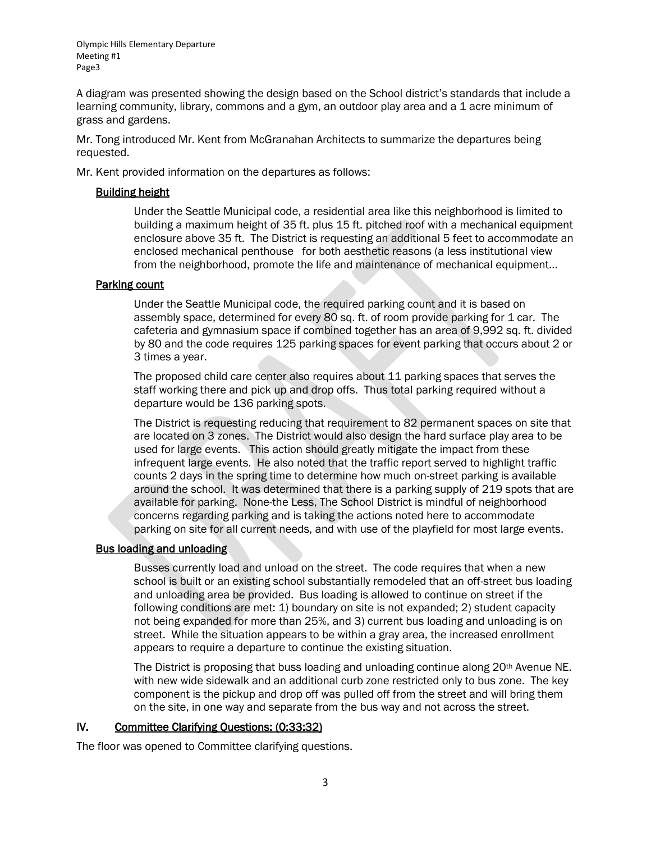A diagram was presented showing the design based on the School district's standards that include a learning community, library, commons and a gym, an outdoor play area and a 1 acre minimum of grass and gardens.

Mr. Tong introduced Mr. Kent from McGranahan Architects to summarize the departures being requested.

Mr. Kent provided information on the departures as follows:

#### Building height

Under the Seattle Municipal code, a residential area like this neighborhood is limited to building a maximum height of 35 ft. plus 15 ft. pitched roof with a mechanical equipment enclosure above 35 ft. The District is requesting an additional 5 feet to accommodate an enclosed mechanical penthouse for both aesthetic reasons (a less institutional view from the neighborhood, promote the life and maintenance of mechanical equipment...

#### Parking count

Under the Seattle Municipal code, the required parking count and it is based on assembly space, determined for every 80 sq. ft. of room provide parking for 1 car. The cafeteria and gymnasium space if combined together has an area of 9,992 sq. ft. divided by 80 and the code requires 125 parking spaces for event parking that occurs about 2 or 3 times a year.

The proposed child care center also requires about 11 parking spaces that serves the staff working there and pick up and drop offs. Thus total parking required without a departure would be 136 parking spots.

The District is requesting reducing that requirement to 82 permanent spaces on site that are located on 3 zones. The District would also design the hard surface play area to be used for large events. This action should greatly mitigate the impact from these infrequent large events. He also noted that the traffic report served to highlight traffic counts 2 days in the spring time to determine how much on-street parking is available around the school. It was determined that there is a parking supply of 219 spots that are available for parking. None-the Less, The School District is mindful of neighborhood concerns regarding parking and is taking the actions noted here to accommodate parking on site for all current needs, and with use of the playfield for most large events.

#### Bus loading and unloading

Busses currently load and unload on the street. The code requires that when a new school is built or an existing school substantially remodeled that an off-street bus loading and unloading area be provided. Bus loading is allowed to continue on street if the following conditions are met: 1) boundary on site is not expanded; 2) student capacity not being expanded for more than 25%, and 3) current bus loading and unloading is on street. While the situation appears to be within a gray area, the increased enrollment appears to require a departure to continue the existing situation.

The District is proposing that buss loading and unloading continue along  $20<sup>th</sup>$  Avenue NE. with new wide sidewalk and an additional curb zone restricted only to bus zone. The key component is the pickup and drop off was pulled off from the street and will bring them on the site, in one way and separate from the bus way and not across the street.

## IV. Committee Clarifying Questions: (0:33:32)

The floor was opened to Committee clarifying questions.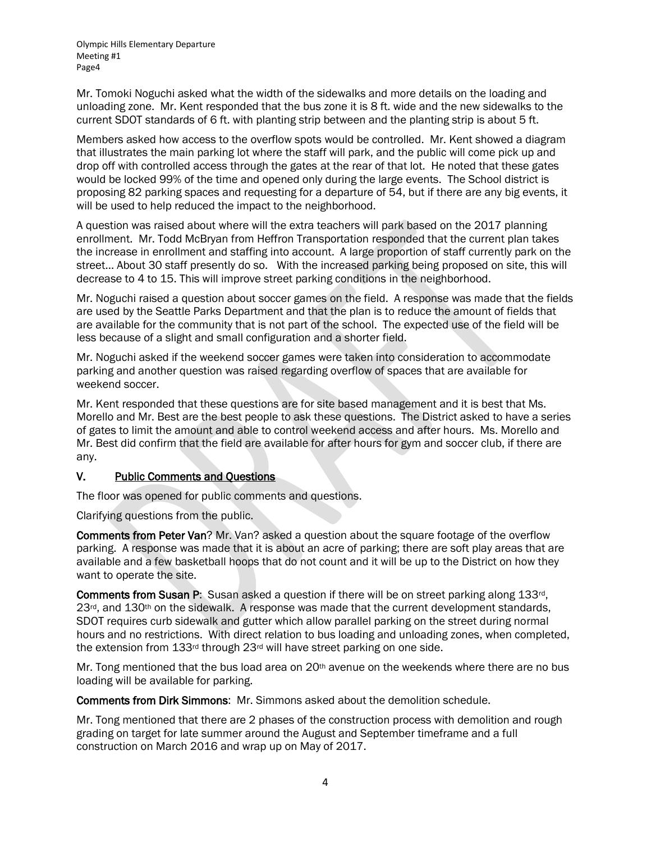Mr. Tomoki Noguchi asked what the width of the sidewalks and more details on the loading and unloading zone. Mr. Kent responded that the bus zone it is 8 ft. wide and the new sidewalks to the current SDOT standards of 6 ft. with planting strip between and the planting strip is about 5 ft.

Members asked how access to the overflow spots would be controlled. Mr. Kent showed a diagram that illustrates the main parking lot where the staff will park, and the public will come pick up and drop off with controlled access through the gates at the rear of that lot. He noted that these gates would be locked 99% of the time and opened only during the large events. The School district is proposing 82 parking spaces and requesting for a departure of 54, but if there are any big events, it will be used to help reduced the impact to the neighborhood.

A question was raised about where will the extra teachers will park based on the 2017 planning enrollment. Mr. Todd McBryan from Heffron Transportation responded that the current plan takes the increase in enrollment and staffing into account. A large proportion of staff currently park on the street... About 30 staff presently do so. With the increased parking being proposed on site, this will decrease to 4 to 15. This will improve street parking conditions in the neighborhood.

Mr. Noguchi raised a question about soccer games on the field. A response was made that the fields are used by the Seattle Parks Department and that the plan is to reduce the amount of fields that are available for the community that is not part of the school. The expected use of the field will be less because of a slight and small configuration and a shorter field.

Mr. Noguchi asked if the weekend soccer games were taken into consideration to accommodate parking and another question was raised regarding overflow of spaces that are available for weekend soccer.

Mr. Kent responded that these questions are for site based management and it is best that Ms. Morello and Mr. Best are the best people to ask these questions. The District asked to have a series of gates to limit the amount and able to control weekend access and after hours. Ms. Morello and Mr. Best did confirm that the field are available for after hours for gym and soccer club, if there are any.

## V. Public Comments and Questions

The floor was opened for public comments and questions.

Clarifying questions from the public.

Comments from Peter Van? Mr. Van? asked a question about the square footage of the overflow parking. A response was made that it is about an acre of parking; there are soft play areas that are available and a few basketball hoops that do not count and it will be up to the District on how they want to operate the site.

Comments from Susan P: Susan asked a question if there will be on street parking along 133rd, 23<sup>rd</sup>, and 130<sup>th</sup> on the sidewalk. A response was made that the current development standards, SDOT requires curb sidewalk and gutter which allow parallel parking on the street during normal hours and no restrictions. With direct relation to bus loading and unloading zones, when completed, the extension from 133rd through 23rd will have street parking on one side.

Mr. Tong mentioned that the bus load area on 20<sup>th</sup> avenue on the weekends where there are no bus loading will be available for parking.

Comments from Dirk Simmons: Mr. Simmons asked about the demolition schedule.

Mr. Tong mentioned that there are 2 phases of the construction process with demolition and rough grading on target for late summer around the August and September timeframe and a full construction on March 2016 and wrap up on May of 2017.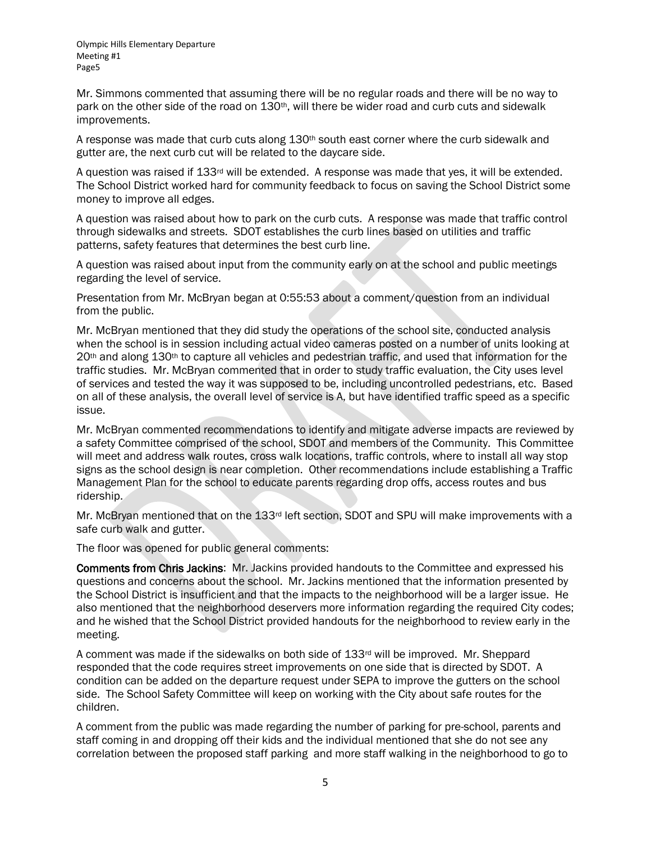Mr. Simmons commented that assuming there will be no regular roads and there will be no way to park on the other side of the road on 130<sup>th</sup>, will there be wider road and curb cuts and sidewalk improvements.

A response was made that curb cuts along 130<sup>th</sup> south east corner where the curb sidewalk and gutter are, the next curb cut will be related to the daycare side.

A question was raised if  $133<sup>rd</sup>$  will be extended. A response was made that yes, it will be extended. The School District worked hard for community feedback to focus on saving the School District some money to improve all edges.

A question was raised about how to park on the curb cuts. A response was made that traffic control through sidewalks and streets. SDOT establishes the curb lines based on utilities and traffic patterns, safety features that determines the best curb line.

A question was raised about input from the community early on at the school and public meetings regarding the level of service.

Presentation from Mr. McBryan began at 0:55:53 about a comment/question from an individual from the public.

Mr. McBryan mentioned that they did study the operations of the school site, conducted analysis when the school is in session including actual video cameras posted on a number of units looking at 20<sup>th</sup> and along 130<sup>th</sup> to capture all vehicles and pedestrian traffic, and used that information for the traffic studies. Mr. McBryan commented that in order to study traffic evaluation, the City uses level of services and tested the way it was supposed to be, including uncontrolled pedestrians, etc. Based on all of these analysis, the overall level of service is A, but have identified traffic speed as a specific issue.

Mr. McBryan commented recommendations to identify and mitigate adverse impacts are reviewed by a safety Committee comprised of the school, SDOT and members of the Community. This Committee will meet and address walk routes, cross walk locations, traffic controls, where to install all way stop signs as the school design is near completion. Other recommendations include establishing a Traffic Management Plan for the school to educate parents regarding drop offs, access routes and bus ridership.

Mr. McBryan mentioned that on the 133rd left section, SDOT and SPU will make improvements with a safe curb walk and gutter.

The floor was opened for public general comments:

Comments from Chris Jackins: Mr. Jackins provided handouts to the Committee and expressed his questions and concerns about the school. Mr. Jackins mentioned that the information presented by the School District is insufficient and that the impacts to the neighborhood will be a larger issue. He also mentioned that the neighborhood deservers more information regarding the required City codes; and he wished that the School District provided handouts for the neighborhood to review early in the meeting.

A comment was made if the sidewalks on both side of 133rd will be improved. Mr. Sheppard responded that the code requires street improvements on one side that is directed by SDOT. A condition can be added on the departure request under SEPA to improve the gutters on the school side. The School Safety Committee will keep on working with the City about safe routes for the children.

A comment from the public was made regarding the number of parking for pre-school, parents and staff coming in and dropping off their kids and the individual mentioned that she do not see any correlation between the proposed staff parking and more staff walking in the neighborhood to go to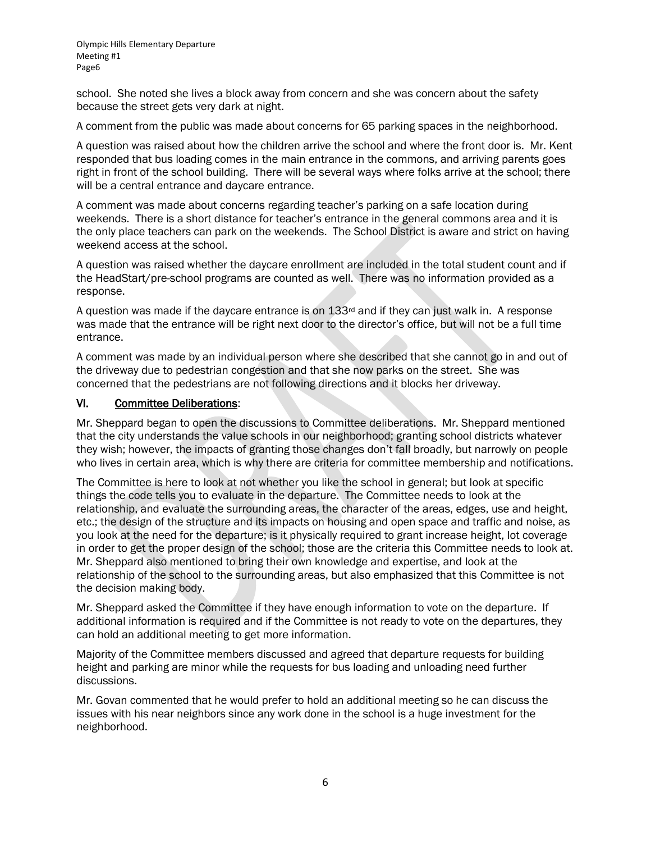school. She noted she lives a block away from concern and she was concern about the safety because the street gets very dark at night.

A comment from the public was made about concerns for 65 parking spaces in the neighborhood.

A question was raised about how the children arrive the school and where the front door is. Mr. Kent responded that bus loading comes in the main entrance in the commons, and arriving parents goes right in front of the school building. There will be several ways where folks arrive at the school; there will be a central entrance and daycare entrance.

A comment was made about concerns regarding teacher's parking on a safe location during weekends. There is a short distance for teacher's entrance in the general commons area and it is the only place teachers can park on the weekends. The School District is aware and strict on having weekend access at the school.

A question was raised whether the daycare enrollment are included in the total student count and if the HeadStart/pre-school programs are counted as well. There was no information provided as a response.

A question was made if the daycare entrance is on 133<sup>rd</sup> and if they can just walk in. A response was made that the entrance will be right next door to the director's office, but will not be a full time entrance.

A comment was made by an individual person where she described that she cannot go in and out of the driveway due to pedestrian congestion and that she now parks on the street. She was concerned that the pedestrians are not following directions and it blocks her driveway.

#### VI. Committee Deliberations:

Mr. Sheppard began to open the discussions to Committee deliberations. Mr. Sheppard mentioned that the city understands the value schools in our neighborhood; granting school districts whatever they wish; however, the impacts of granting those changes don't fall broadly, but narrowly on people who lives in certain area, which is why there are criteria for committee membership and notifications.

The Committee is here to look at not whether you like the school in general; but look at specific things the code tells you to evaluate in the departure. The Committee needs to look at the relationship, and evaluate the surrounding areas, the character of the areas, edges, use and height, etc.; the design of the structure and its impacts on housing and open space and traffic and noise, as you look at the need for the departure; is it physically required to grant increase height, lot coverage in order to get the proper design of the school; those are the criteria this Committee needs to look at. Mr. Sheppard also mentioned to bring their own knowledge and expertise, and look at the relationship of the school to the surrounding areas, but also emphasized that this Committee is not the decision making body.

Mr. Sheppard asked the Committee if they have enough information to vote on the departure. If additional information is required and if the Committee is not ready to vote on the departures, they can hold an additional meeting to get more information.

Majority of the Committee members discussed and agreed that departure requests for building height and parking are minor while the requests for bus loading and unloading need further discussions.

Mr. Govan commented that he would prefer to hold an additional meeting so he can discuss the issues with his near neighbors since any work done in the school is a huge investment for the neighborhood.